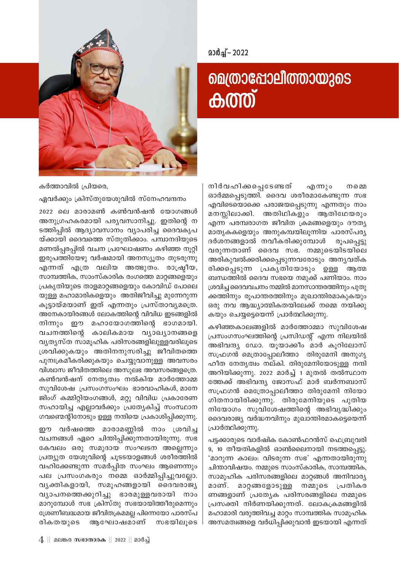

2022 – 2022

## **മെത്രാപ്പോലീത്തായുടെ കത്ത്**

നിർവഹിക്കപ്പെടേണ്ടത് എന്നും നമെ ഓർമ്മപ്പെടുത്തി. ദൈവ ശരീരമാകേണ്ടുന്ന സഭ എവിടെയൊക്കെ പരാജയപ്പെടുന്നു എന്നതും നാം മനസ്സിലാക്കി. അതിഥികളും ആതിഥേയരും എന്ന പരമ്പരാഗത ജീവിത ക്രമങ്ങളെയും ദൗത്യ മാതൃകകളെയും അനുകമ്പയിലൂന്നിയ പാരസ്പര്യ ദർശനങ്ങളാൽ നവീകരിക്കുമ്പോൾ രൂപപ്പെട്ടു വരുന്നതാണ് ദൈവ സഭ. നമ്മുടെയിടയിലെ അരികുവൽക്കരിക്കപ്പെടുന്നവരോടും അനൃവത്ക രിക്കപ്പെടുന്ന പ്രകൃതിയോടും ഉള്ള അത്മ ബന്ധത്തിൽ ദൈവ സഭയെ നമുക്ക് പണിയാം. നാം ശ്രവിച്ച ദൈവവചനം നമ്മിൽ മാനസാന്തരത്തിനും പുതു ക്കത്തിനും രൂപാന്തരത്തിനും മുഖാന്തിരമാകുകയും ഒരു നവ ആദ്ധ്യാത്മികതയിലേക്ക് നമ്മെ നയിക്കു കയും ചെയ്യട്ടെയെന്ന് പ്രാർത്ഥിക്കുന്നു.

കഴിഞ്ഞകാലങ്ങളിൽ മാർത്തോമ്മാ സുവിശേഷ പ്രസംഗസംഘത്തിന്റെ പ്രസിഡന്റ് എന്ന നിലയിൽ അഭിവന്ദ്യ ഡോ. യൂയാക്കീം മാർ കൂറിലോസ് സഫ്രഗൻ മെത്രാപ്പോലീത്താ തിരുമേനി അനുഗൃ ഹീത നേതൃത്വം നല്കി. തിരുമേനിയോടുള്ള നന്ദി അറിയിക്കുന്നു. 2022 മാർച്ച് 1 മുതൽ തൽസ്ഥാന ത്തേക്ക് അഭിവന്ദ്യ ജോസഫ് മാർ ബർന്നബാസ് സഫ്രഗൻ മെത്രോപ്പാലീത്താ തിരുമേനി നിയോ ഗിതനായിരിക്കുന്നു. തിരുമേനിയുടെ പുതിയ നിയോഗം സുവിശേഷത്തിന്റെ അഭിവൃദ്ധിക്കും ദൈവരാജ്യ വർദ്ധനവിനും മുഖാന്തിരമാകട്ടെയെന്ന് പ്രാർത്ഥിക്കുന്നു.

പട്ടക്കാരുടെ വാർഷിക കോൺഫറൻസ് ഫെബ്രുവരി 9, 10 തീയതികളിൽ ഓൺലൈനായി നടത്തപ്പെട്ടു. 'മാറുന്ന കാലം: വിടരുന്ന സഭ' എന്നതായിരുന്നു ചിന്താവിഷയം. നമ്മുടെ സാംസ്കാരിക, സാമ്പത്തിക, സാമൂഹിക പരിസരങ്ങളിലെ മാറ്റങ്ങൾ അനിവാര്യ മാണ്. മാറ്റങ്ങളോടുള്ള നമ്മുടെ പ്രതികര ണങ്ങളാണ് പ്രത്യേക പരിസരങ്ങളിലെ നമ്മുടെ പ്രസക്തി നിർണയിക്കുന്നത്. ലോകക്രമങ്ങളിൽ മഹാമാരി വരുത്തിവച്ച മാറ്റം സാമ്പത്തിക സാമൂഹിക അസമത്വങ്ങളെ വർധിപ്പിക്കുവാൻ ഇടയായി എന്നത്

കർത്താവിൽ പ്രിയരെ,

ഏവർക്കും ക്രിസ്തുയേശുവിൽ സ്നേഹവന്ദനം

2022 ലെ മാരാമൺ കൺവൻഷൻ യോഗങ്ങൾ അനുഗ്രഹകരമായി പര്യവസാനിച്ചു. ഇതിന്റെ ന ടത്തിപ്പിൽ ആദ്യാവസാനം വ്യാപരിച്ച ദൈവകൃപ യ്ക്കായി ദൈവത്തെ സ്തുതിക്കാം. പമ്പാനദിയുടെ മണൽപ്പരപ്പിൽ വചന പ്രഘോഷണം കഴിഞ്ഞ നൂറ്റി ഇരുപത്തിയേഴു വർഷമായി അനസ്യുതം തുടരുന്നു എന്നത് എത്ര വലിയ അത്ഭുതം. രാഷ്ട്രീയ, സാമ്പത്തിക, സാംസ്കാരിക രംഗത്തെ മാറ്റങ്ങളെയും പ്രകൃതിയുടെ താളമാറ്റങ്ങളെയും കോവിഡ് പോലെ യുള്ള മഹാമാരികളെയും അതിജീവിച്ചു മുന്നേറുന്ന കൂട്ടായ്മയാണ് ഇത് എന്നതും പ്രസ്താവ്യമത്രെ. അനേകായിരങ്ങൾ ലോകത്തിന്റെ വിവിധ ഇടങ്ങളിൽ നിന്നും ഈ മഹായോഗത്തിന്റെ ഭാഗമായി. വചനത്തിന്റെ കാലികമായ വ്യാഖ്യാനങ്ങളെ വ്യത്യസ്ത സാമൂഹിക പരിസരങ്ങളിലുള്ളവരിലൂടെ ശ്രവിക്കുകയും അതിനനുസരിച്ചു ജീവിതത്തെ പുനഃക്രമീകരിക്കുകയും ചെയ്യുവാനുള്ള അവസരം വിശ്വാസ ജീവിതത്തിലെ അസുലഭ അവസരങ്ങളത്രെ. കൺവൻഷന് നേതൃത്വം നൽകിയ മാർത്തോമ്മ സുവിശേഷ പ്രസംഗസംഘം ഭാരവാഹികൾ, മാനേ ജിംഗ് കമ്മിറ്റിയംഗങ്ങൾ, മറ്റു വിവിധ പ്രകാരേണ സഹായിച്ച എല്ലാവർക്കും പ്രത്യേകിച്ച് സംസ്ഥാന ഗവണ്മെന്റിനോടും ഉള്ള നന്ദിയെ പ്രകാശിപ്പിക്കുന്നു.

ഈ വർഷത്തെ മാരാമണ്ണിൽ നാം ശ്രവിച്ച വചനങ്ങൾ ഏറെ ചിന്തിപ്പിക്കുന്നതായിരുന്നു. സഭ കേവലം ഒരു സമുദായ സംഘടന അല്ലെന്നും പ്രത്യുത യേശുവിന്റെ ചൂടടയാളങ്ങൾ ശരീരത്തിൽ വഹിക്കേണ്ടുന്ന സമർപ്പിത സംഘം ആണെന്നും പല പ്രസംഗകരും നമ്മെ ഓർമ്മിപ്പിച്ചുവല്ലോ. വൃക്തികളായി, സമൂഹങ്ങളായി ദൈവരാജ്യ വ്യാപനത്തെക്കുറിച്ചു ഭാരമുള്ളവരായി നാം മാറുമ്പോൾ സഭ ക്രിസ്തു സഭയായിത്തീരുമെന്നും ശ്രേണീബദ്ധമായ ജീവിതക്രമമല്ല പിന്നെയോ പാരസ്പ രികതയുടെ ആഘോഷമാണ് സഭയിലുടെ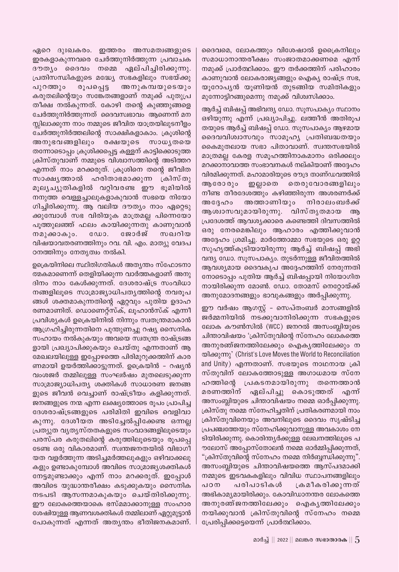ഏറെ ദുഃഖകരം. ഇത്തരം അസമത്വങ്ങളുടെ ഇരകളാകുന്നവരെ ചേർത്തുനിർത്തുന്ന പ്രവാചക ദൗത്യം ദൈവം നമ്മെ ഏല്പിച്ചിരിക്കുന്നു. പ്രതിസന്ധികളുടെ മദ്ധ്യേ സഭകളിലും സഭയ്ക്കു അനുകമ്പയുടെയും പുറത്തും രൂപപ്പെട്ട കരുതലിന്റെയും സങ്കേതങ്ങളാണ് നമുക്ക് പുതുപ്ര തീക്ഷ നൽകുന്നത്. കോഴി തന്റെ കുഞ്ഞുങ്ങളെ ചേർത്തുനിർത്തുന്നത് ദൈവസ്വഭാവം ആണെന്ന് മന സ്സിലാക്കുന്ന നാം നമ്മുടെ ജീവിത യാത്രയിലുടനീളം ചേർത്തുനിർത്തലിന്റെ സാക്ഷികളാകാം. ക്രൂശിന്റെ അനുഭവങ്ങളിലും രക്ഷയുടെ സാധൃതയെ തന്നോടൊപ്പം ക്രൂശിക്കപ്പെട്ട കള്ളന് കാട്ടിക്കൊടുത്ത ക്രിസ്തുവാണ് നമ്മുടെ വിശ്വാസത്തിന്റെ അടിത്തറ എന്നത് നാം മറക്കരുത്. ക്രൂശിനെ തന്റെ ജീവിത സാക്ഷൃത്താൽ ഹരിതാഭമാക്കുന്ന ക്രിസ്തു മൂല്യച്യുതികളിൽ വറ്റിവരണ്ട ഈ ഭൂമിയിൽ നനുത്ത വെള്ളച്ചാലുകളാകുവാൻ സഭയെ നിയോ ഗിച്ചിരിക്കുന്നു. ആ വലിയ ദൗത്യം നാം ഏറ്റെടു ക്കുമ്പോൾ സഭ വിരിയുക മാത്രമല്ല പിന്നെയോ പൂത്തുലഞ്ഞ് ഫലം കായിക്കുന്നതു കാണുവാൻ ജോർജ് സഖറിയ നമുക്കാകും. വിഷയാവതരണത്തിനും റവ. വി. എം. മാത്യു വേദപ ഠനത്തിനും നേതൃത്വം നൽകി.

ഉക്രെയിനിലെ സ്ഥിതിഗതികൾ അത്യന്തം സ്ഫോടനാ ത്മകമാണെന്ന് തെളിയിക്കുന്ന വാർത്തകളാണ് അനു ദിനം നാം കേൾക്കുന്നത്. ദേശരാഷ്ട്ര സംവിധാ നങ്ങളിലൂടെ സാമ്രാജ്യാധിപത്യത്തിന്റെ നവരൂപ ങ്ങൾ ശക്തമാകുന്നതിന്റെ ഏറ്റവും പുതിയ ഉദാഹ രണമാണിത്. ഡൊണെറ്റ്സ്ക്, ലൂഹാൻസ്ക് എന്നീ പ്രവിശ്യകൾ ഉക്രെയിനിൽ നിന്നും സ്വതന്ത്രമാകാൻ ആഗ്രഹിച്ചിരുന്നതിനെ പുന്തുണച്ചു റഷ്യ സൈനിക സഹായം നൽകുകയും അവയെ സ്വതന്ത്ര രാഷ്ട്രങ്ങ ളായി പ്രഖ്യാപിക്കുകയും ചെയ്തു എന്നതാണ് ആ മേഖലയിലുള്ള ഇപ്പോഴത്തെ പിരിമുറുക്കത്തിന് കാര ണമായി ഉയർത്തിക്കാട്ടുന്നത്. ഉക്രെയിൻ - റഷ്യൻ വംശജർ തമ്മിലുള്ള സംഘർഷം മുതലെടുക്കുന്ന സാമ്രാജ്യാധിപത്യ ശക്തികൾ സാധാരണ ജനങ്ങ ളുടെ ജീവൻ വെച്ചാണ് രാഷ്ട്രീയം കളിക്കുന്നത്. ജനങ്ങളുടെ നന്മ എന്ന ലക്ഷ്യത്തോടെ രൂപം പ്രാപിച്ച ദേശരാഷ്ട്രങ്ങളുടെ പരിമിതി ഇവിടെ വെളിവാ കുന്നു. ദേശീയത അടിച്ചേൽപ്പിക്കേണ്ട ഒന്നല്ല പ്രത്യുത വൃതൃസ്തതകളുടെ സംവാദങ്ങളിലൂടെയും പരസ്പര കരുതലിന്റെ കരുത്തിലൂടെയും രൂപപ്പെ ടേണ്ട ഒരു വികാരമാണ്. സ്വന്തജനതയിൽ വിഭാഗീ യത വളർത്തുന്ന അടിച്ചമർത്തലുകളും ഒഴിവാക്കലു കളും ഉണ്ടാകുമ്പോൾ അവിടെ സാമ്രാജ്യശക്തികൾ നേട്ടമുണ്ടാക്കും എന്ന് നാം മറക്കരുത്. ഇപ്പോൾ അവിടെ യുദ്ധാന്തരീക്ഷം കടുക്കുകയും സൈനിക നടപടി ആസന്നമാകുകയും ചെയ്തിരിക്കുന്നു. ഈ ലോകത്തെയാകെ ഭസ്മമാക്കാനുള്ള സംഹാര ശേഷിയുള്ള ആണവശക്തികൾ തമ്മിലാണ് ഏറ്റുമുട്ടാൻ പോകുന്നത് എന്നത് അതൃന്തം ഭീതിജനകമാണ്. ദൈവമെ, ലോകത്തും വിശേഷാൽ ഉക്രൈനിലും സമാധാനാന്തരീക്ഷം സംജാതമാക്കണമെ എന്ന് നമുക്ക് പ്രാർത്ഥിക്കാം. ഈ തർക്കത്തിന് പരിഹാരം കാണുവാൻ ലോകരാജ്യങ്ങളും ഐക്യ രാഷ്ട്ര സഭ, യൂറോപ്യൻ യൂണിയൻ തുടങ്ങിയ സമിതികളും മുന്നോട്ടിറങ്ങുമെന്നു നമുക്ക് വിശ്വസിക്കാം.

ആർച്ച് ബിഷപ്പ് അഭിവന്ദ്യ ഡോ. സുസപാക്യം സ്ഥാനം ഒഴിയുന്നു എന്ന് പ്രഖ്യാപിച്ചു. ലത്തീൻ അതിരൂപ തയുടെ ആർച്ച് ബിഷപ്പ് ഡോ. സൂസപാക്യം ആഴമായ ദൈവവിശ്വാസവും സാമൂഹ്യ പ്രതിബദ്ധതയും കൈമുതലായ സഭാ പിതാവാണ്. സ്വന്തസഭയിൽ മാത്രമല്ല കേരള സമൂഹത്തിനാകമാനം ഒരിക്കലും മറക്കാനാവാത്ത സംഭാവനകൾ നല്കിയാണ് അദ്ദേഹം വിരമിക്കുന്നത്. മഹാമാരിയുടെ രൗദ്ര താണ്ഡവത്തിൽ തെരുവോരങ്ങളിലും ആരോ രും ഇല്ലാതെ നീണ്ട തീരദേശത്തും കഴിഞ്ഞിരുന്ന അശരണർക്ക് അത്താണിയും നിരാലംബർക്ക് അദ്ദേഹം ആശ്വാസവുമായിരുന്നു. വിസ്തൃതമായ ആ പ്രദേശത്ത് ആവശ്യക്കാരെ കണ്ടെത്തി ദിവസത്തിൽ ഒരു നേരമെങ്കിലും ആഹാരം എത്തിക്കുവാൻ അദ്ദേഹം ശ്രമിച്ചു. മാർത്തോമ്മാ സഭയുടെ ഒരു ഉറ്റ സുഹൃത്ത്കൂടിയായിരുന്നു ആർച്ച് ബിഷപ്പ് അഭി വന്ദ്യ ഡോ. സൂസപാക്യം. തുടർന്നുള്ള ജീവിതത്തിൽ ആവശ്യമായ ദൈവകൃപ അദ്ദേഹത്തിന് നേരുന്നതി നോടൊപ്പം പുതിയ ആർച്ച് ബിഷപ്പായി നിയോഗിത നായിരിക്കുന്ന മോൺ. ഡോ. തോമസ് നെറ്റോയ്ക്ക് അനുമോദനങ്ങളും ഭാവുകങ്ങളും അർപ്പിക്കുന്നു.

ഈ വർഷം ആഗസ്റ്റ് - സെപ്തംബർ മാസങ്ങളിൽ ജർമ്മനിയിൽ നടക്കുവാനിരിക്കുന്ന സഭകളുടെ ലോക കൗൺസിൽ (WCC) ജനറൽ അസംബ്ലിയുടെ ചിന്താവിഷയം 'ക്രിസ്തുവിന്റെ സ്നേഹം ലോകത്തെ അനുരഞ്ജനത്തിലേക്കും ഐകൃത്തിലേക്കും ന യിക്കുന്നു' (Christ's Love Moves the World to Reconciliation and Unity) എന്നതാണ്. സഭയുടെ നാഥനായ ക്രി സ്തുവിന് ലോകത്തോടുള്ള അഗാധമായ സ്നേ പ്രകടനമായിരുന്നു തന്നെത്താൻ ഹത്തിന്റെ മരണത്തിന് ഏല്പിച്ചു കൊടുത്തത് എന്ന് അസംബ്ലിയുടെ ചിന്താവിഷയം നമ്മെ ഓർപ്പിക്കുന്നു. ക്രിസ്തു നമ്മെ സ്നേഹിച്ചതിന് പ്രതികരണമായി നാം ക്രിസ്തുവിനെയും അവനിലൂടെ ദൈവം സൃഷ്ടിച്ച പ്രപഞ്ചത്തേയും സ്നേഹിക്കുവാനുള്ള അവകാശം നേ ടിയിരിക്കുന്നു. കൊരിന്ത്യർക്കുള്ള ലേഖനത്തിലൂടെ പ ൗലോസ് അപ്പോസ്തോലൻ നമ്മെ ഓർമ്മിപ്പിക്കുന്നത്, "ക്രിസ്തുവിന്റെ സ്നേഹം നമ്മെ നിർബ്ബന്ധിക്കുന്നു". അസംബ്ലിയുടെ ചിന്താവിഷയത്തെ ആസ്പദമാക്കി നമ്മുടെ ഇടവകകളിലും വിവിധ സ്ഥാപനങ്ങളിലും പഠന പരിപാടികൾ ക്രമീകരിക്കുന്നത് അഭികാമൃമായിരിക്കും. കോവിഡാനന്തര ലോകത്തെ അനുരഞ്ജനത്തിലേക്കും ഐകൃത്തിലേക്കും നയിക്കുവാൻ ക്രിസ്തുവിന്റെ സ്നേഹം നമ്മെ പ്രേരിപ്പിക്കട്ടെയെന്ന് പ്രാർത്ഥിക്കാം.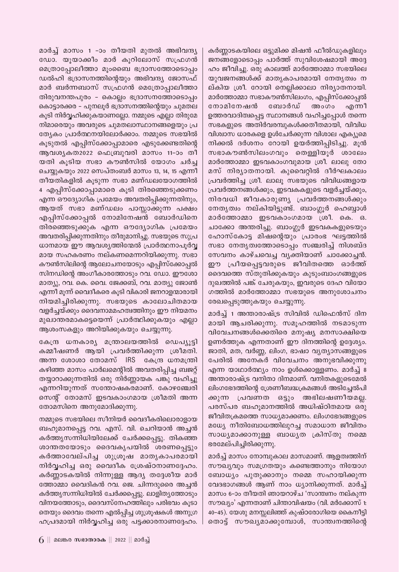കർണ്ണാടകയിലെ ഒട്ടുമിക്ക മിഷൻ ഫീൽഡുകളിലും ജനങ്ങളോടൊപ്പം പാർത്ത് സുവിശേഷമായി അദ്ദേ ഹം ജീവിച്ചു. ഒരു കാലത്ത് മാർത്തോമ്മാ സഭയിലെ യുവജനങ്ങൾക്ക് മാതൃകാപരമായി നേതൃത്വം ന ല്കിയ ശ്രീ. റോയി നെല്ലിക്കാലാ നിര്യാതനായി. മാർത്തോമ്മാ സഭാകൗൺസിലംഗം, എപ്പിസ്ക്കോപ്പൽ നോമിനേഷൻ ബോർഡ് അംഗം എന്നീ ഉത്തരവാദിത്വപ്പെട്ട സ്ഥാനങ്ങൾ വഹിച്ചപ്പോൾ തന്നെ സഭകളുടെ അതിർവരമ്പുകൾക്കതീതമായി, വിവിധ വിശ്വാസ ധാരകളെ ഉൾചേർക്കുന്ന വിശാല എക്യൂമെ നിക്കൽ ദർശനം റോയി ഉയർത്തിപ്പിടിച്ചു. മൂൻ സഭാകൗൺസിലംഗവും തെള്ളിയൂർ ശാലേം മാർത്തോമ്മാ ഇടവകാംഗവുമായ ശ്രീ. ലാലു തോ മസ് നിര്യാതനായി. കുവൈറ്റിൽ ദീർഘകാലം പ്രവർത്തിച്ച ശ്രീ. ലാലൂ സഭയുടെ വിവിധങ്ങളായ പ്രവർത്തനങ്ങൾക്കും, ഇടവകകളുടെ വളർച്ചയ്ക്കും, നിരവധി ജീവകാരുണ്യ പ്രവർത്തനങ്ങൾക്കും നേതൃത്വം നല്കിയിട്ടുണ്ട്. ബാംഗ്ലൂർ ഹെബ്ബാൾ മാർത്തോമ്മാ ഇടവകാംഗമായ ശ്രീ. കെ. ഒ. ചാക്കോ അന്തരിച്ചു. ബാംഗ്ലൂർ ഇടവകകളുടെയും ഹോസ്കോട്ട മിഷന്റെയും പ്രാരംഭ ഘട്ടത്തിൽ സഭാ നേതൃത്വത്തോടൊപ്പം സഞ്ചരിച്ച് നിശബ്ദ സേവനം കാഴ്ചവെച്ച വ്യക്തിയാണ് ചാക്കോച്ചൻ. ഈ പ്രീയപ്പെട്ടവരുടെ ജീവിതത്തെ ഓർത്ത് ദൈവത്തെ സ്തുതിക്കുകയും കുടുംബാംഗങ്ങളുടെ ദുഖത്തിൽ പങ്ക് ചേരുകയും, ഇവരുടെ ദേഹ വിയോ ഗത്തിൽ മാർത്തോമ്മാ സഭയുടെ അനുശോചനം രേഖപ്പെടുത്തുകയും ചെയ്യുന്നു.

മാർച്ച് 1 അന്താരാഷ്ട്ര സിവിൽ ഡിഫെൻസ് ദിന മായി ആചരിക്കുന്നു. സമൂഹത്തിൽ നടമാടുന്ന വിവേചനങ്ങൾക്കെതിരെ മനുഷ്യ മനസാക്ഷിയെ ഉണർത്തുക എന്നതാണ് ഈ ദിനത്തിന്റെ ഉദ്ദേശ്യം. ജാതി, മത, വർണ്ണ, ലിംഗ, ഭാഷാ വ്യത്യാസങ്ങളുടെ പേരിൽ അനേകർ വിവേചനം അനുഭവിക്കുന്നു എന്ന യാഥാർത്ഥ്യം നാം ഉൾക്കൊള്ളണം. മാർച്ച് 8 അന്താരാഷ്ട്ര വനിതാ ദിനമാണ്. വനിതകളുടെമേൽ ലിംഗഭേദത്തിന്റെ ശ്രേണീബദ്ധക്രമങ്ങൾ അടിച്ചേൽപി ക്കുന്ന പ്രവണത ഒട്ടും അഭിലഷണീയമല്ല. പരസ്പര ബഹുമാനത്തിൽ അധിഷ്ഠിതമായ ഒരു ജീവിതക്രമത്തെ സാധ്യമാക്കണം. ലിംഗഭേദങ്ങളുടെ മധ്യേ നീതിബോധത്തിലുറച്ച സമാധാന ജീവിതം സാധ്യമാക്കാനുള്ള ബാധൃത ക്രിസ്തു നമ്മെ ഭരമേല്പിച്ചിരിക്കുന്നു.

മാർച്ച് മാസം നോമ്പുകാല മാസമാണ്. ആളത്വത്തിന് സൗഖ്യവും സമഗ്രതയും കണ്ടെത്താനും നിയോഗ ബോധ്യം പുതുക്കാനും നമ്മെ സഹായിക്കുന്ന വേദഭാഗങ്ങൾ ആണ് നാം ധ്യാനിക്കുന്നത്. മാർച്ച് മാസം 6-ാം തീയതി ഞായറാഴ്ച 'സാന്ത്വനം നല്കുന്ന സൗഖ്യം' എന്നതാണ് ചിന്താവിഷയം (വി. മർക്കോസ് 1: 40–45). യേശു മനസ്സലിഞ്ഞ് കുഷ്ഠരോഗിയെ കൈനീട്ടി തൊട്ട് സൗഖ്യമാക്കുമ്പോൾ, സാന്ത്വനത്തിന്റെ

മാർച്ച് മാസം 1 -ാം തീയതി മുതൽ അഭിവന്ദ്യ ഡോ. യൂയാക്കീം മാർ കൂറിലോസ് സഫ്രഗൻ മെത്രാപ്പോലീത്താ മൂംബൈ ഭദ്രാസത്തോടൊപ്പം ഡൽഹി ഭദ്രാസനത്തിന്റെയും അഭിവന്ദ്യ ജോസഫ് മാർ ബർന്നബാസ് സഫ്രഗൻ മെത്രോപ്പാലീത്താ തിരുവനന്തപുരം - കൊല്ലം ഭദ്രാസനത്തോടൊപ്പം കൊട്ടാരക്കര – പുനലൂർ ഭദ്രാസനത്തിന്റെയും ചുമതല കൂടി നിർവ്വഹിക്കുകയാണല്ലോ. നമ്മുടെ എല്ലാ തിരുമേ നിമാരെയും അവരുടെ ചുമതലാസ്ഥാനങ്ങളെയും പ്ര ത്യേകം പ്രാർത്ഥനയിലോർക്കാം. നമ്മുടെ സഭയിൽ കൂടുതൽ എപ്പിസ്ക്കോപ്പാമാരെ എടുക്കേണ്ടതിന്റെ ആവശ്യകത2022 ഫെബ്രുവരി മാസം 11-ാം തീ യതി കൂടിയ സഭാ കൗൺസിൽ യോഗം ചർച്ച ചെയ്യുകയും 2022 സെപ്തംബർ മാസം 13, 14, 15 എന്നീ തീയതികളിൽ കൂടുന്ന സഭാ മണ്ഡലയോഗത്തിൽ 4 എപ്പിസ്ക്കോപ്പാമാരെ കൂടി തിരഞ്ഞെടുക്കണം എന്ന ഔദ്യോഗിക പ്രമേയം അവതരിപ്പിക്കുന്നതിനും, ആയത് സഭാ മണ്ഡലം പാസ്സാക്കുന്ന പക്ഷം എപ്പിസ്ക്കോപ്പൽ നോമിനേഷൻ ബോർഡിനെ തിരഞ്ഞെടുക്കുക എന്ന ഔദ്യോഗിക പ്രമേയം അവതരിപ്പിക്കുന്നതിനും തീരുമാനിച്ചു. സഭയുടെ സുപ്ര ധാനമായ ഈ ആവശ്യത്തിന്മേൽ പ്രാർത്ഥനാപൂർവ്വ മായ സഹകരണം നല്കണമെന്നറിയിക്കുന്നു. സഭാ കൗൺസിലിന്റെ ആലോചനയോടും എപ്പിസ്ക്കോപ്പൽ സിനഡിന്റെ അംഗീകാരത്തോടും റവ. ഡോ. ഈശോ മാത്യു, റവ. കെ. വൈ. ജേക്കബ്, റവ. മാത്യു ജോൺ എന്നീ മൂന്ന് വൈദീകരെ കൂടി വികാരി ജനറാളന്മാരായി നിയമിച്ചിരിക്കുന്നു. സഭയുടെ കാലോചിതമായ വളർച്ചയ്ക്കും ദൈവനാമമഹത്വത്തിനും ഈ നിയമനം മുഖാന്തരമാകട്ടെയെന്ന് പ്രാർത്ഥിക്കുകയും എല്ലാ ആശംസകളും അറിയിക്കുകയും ചെയ്യുന്നു.

കേന്ദ്ര ധനകാര്യ മന്ത്രാലയത്തിൽ ഡെപ്യൂട്ടി കമ്മീഷണർ ആയി പ്രവർത്തിക്കുന്ന ശ്രീമതി. അന്ന ശോശാ തോമസ് IRS കേന്ദ്ര ധനമന്ത്രി കഴിഞ്ഞ മാസം പാർലമെന്റിൽ അവതരിപ്പിച്ച ബജറ്റ് തയ്യാറാക്കുന്നതിൽ ഒരു നിർണ്ണായക പങ്കു വഹിച്ചു എന്നറിയുന്നത് സന്തോഷകരമാണ്. കോഴഞ്ചേരി സെന്റ് തോമസ് ഇടവകാംഗമായ ശ്രീമതി അന്ന തോമസിനെ അനുമോദിക്കുന്നു.

നമ്മുടെ സഭയിലെ സീനിയർ വൈദീകരിലൊരാളായ ബഹുമാനപ്പെട്ട റവ. എസ്. വി. ചെറിയാൻ അച്ചൻ കർത്തൃസന്നിധിയിലേക്ക് ചേർക്കപ്പെട്ടു. തികഞ്ഞ ശാന്തതയോടും ദൈവകൃപയിൽ ശരണപ്പെട്ടും കർത്താവേല്പിച്ച ശുശ്രൂഷ മാതൃകാപരമായി നിർവ്വഹിച്ച ഒരു വൈദീക ശ്രേഷ്ഠനാണദ്ദേഹം. കർണ്ണാടകയിൽ നിന്നുള്ള ആദ്യ തദ്ദേശീയ മാർ ത്തോമ്മാ വൈദികൻ റവ. ജെ. ചിന്നദുരൈ അച്ചൻ കർത്തൃസന്നിധിയിൽ ചേർക്കപ്പെട്ടു. ലാളിതൃത്തോടും വിനയത്തോടും, ദൈവസ്നേഹത്തിലും പരിഭവം കൂടാ തെയും ദൈവം തന്നെ എൽപ്പിച്ച ശുശ്രൂഷകൾ അനുഗ്ര ഹപ്രദമായി നിർവ്വഹിച്ച ഒരു പട്ടക്കാരനാണദ്ദേഹം.